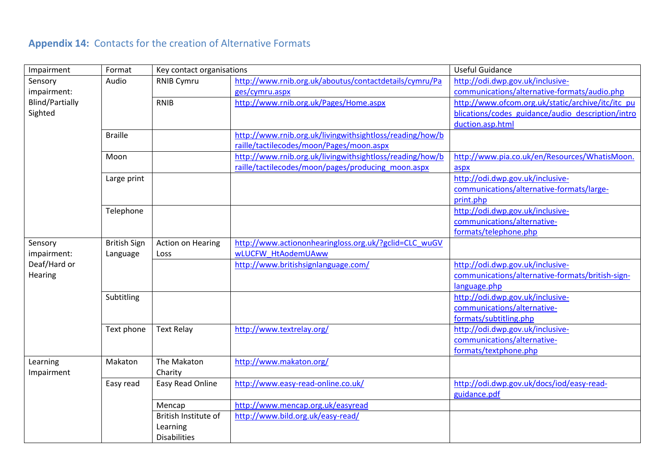# **Appendix 14:** Contacts for the creation of Alternative Formats

| Impairment             | Format              | Key contact organisations |                                                          | <b>Useful Guidance</b>                            |
|------------------------|---------------------|---------------------------|----------------------------------------------------------|---------------------------------------------------|
| Sensory                | Audio               | <b>RNIB Cymru</b>         | http://www.rnib.org.uk/aboutus/contactdetails/cymru/Pa   | http://odi.dwp.gov.uk/inclusive-                  |
| impairment:            |                     |                           | ges/cymru.aspx                                           | communications/alternative-formats/audio.php      |
| <b>Blind/Partially</b> |                     | <b>RNIB</b>               | http://www.rnib.org.uk/Pages/Home.aspx                   | http://www.ofcom.org.uk/static/archive/itc/itc pu |
| Sighted                |                     |                           |                                                          | blications/codes guidance/audio description/intro |
|                        |                     |                           |                                                          | duction.asp.html                                  |
|                        | <b>Braille</b>      |                           | http://www.rnib.org.uk/livingwithsightloss/reading/how/b |                                                   |
|                        |                     |                           | raille/tactilecodes/moon/Pages/moon.aspx                 |                                                   |
|                        | Moon                |                           | http://www.rnib.org.uk/livingwithsightloss/reading/how/b | http://www.pia.co.uk/en/Resources/WhatisMoon.     |
|                        |                     |                           | raille/tactilecodes/moon/pages/producing moon.aspx       | aspx                                              |
|                        | Large print         |                           |                                                          | http://odi.dwp.gov.uk/inclusive-                  |
|                        |                     |                           |                                                          | communications/alternative-formats/large-         |
|                        |                     |                           |                                                          | print.php                                         |
|                        | Telephone           |                           |                                                          | http://odi.dwp.gov.uk/inclusive-                  |
|                        |                     |                           |                                                          | communications/alternative-                       |
|                        |                     |                           |                                                          | formats/telephone.php                             |
| Sensory                | <b>British Sign</b> | <b>Action on Hearing</b>  | http://www.actiononhearingloss.org.uk/?gclid=CLC_wuGV    |                                                   |
| impairment:            | Language            | Loss                      | wLUCFW HtAodemUAww                                       |                                                   |
| Deaf/Hard or           |                     |                           | http://www.britishsignlanguage.com/                      | http://odi.dwp.gov.uk/inclusive-                  |
| Hearing                |                     |                           |                                                          | communications/alternative-formats/british-sign-  |
|                        |                     |                           |                                                          | language.php                                      |
|                        | Subtitling          |                           |                                                          | http://odi.dwp.gov.uk/inclusive-                  |
|                        |                     |                           |                                                          | communications/alternative-                       |
|                        |                     |                           |                                                          | formats/subtitling.php                            |
|                        | Text phone          | <b>Text Relay</b>         | http://www.textrelay.org/                                | http://odi.dwp.gov.uk/inclusive-                  |
|                        |                     |                           |                                                          | communications/alternative-                       |
|                        |                     |                           |                                                          | formats/textphone.php                             |
| Learning               | Makaton             | The Makaton               | http://www.makaton.org/                                  |                                                   |
| Impairment             |                     | Charity                   |                                                          |                                                   |
|                        | Easy read           | Easy Read Online          | http://www.easy-read-online.co.uk/                       | http://odi.dwp.gov.uk/docs/iod/easy-read-         |
|                        |                     |                           |                                                          | guidance.pdf                                      |
|                        |                     | Mencap                    | http://www.mencap.org.uk/easyread                        |                                                   |
|                        |                     | British Institute of      | http://www.bild.org.uk/easy-read/                        |                                                   |
|                        |                     | Learning                  |                                                          |                                                   |
|                        |                     | <b>Disabilities</b>       |                                                          |                                                   |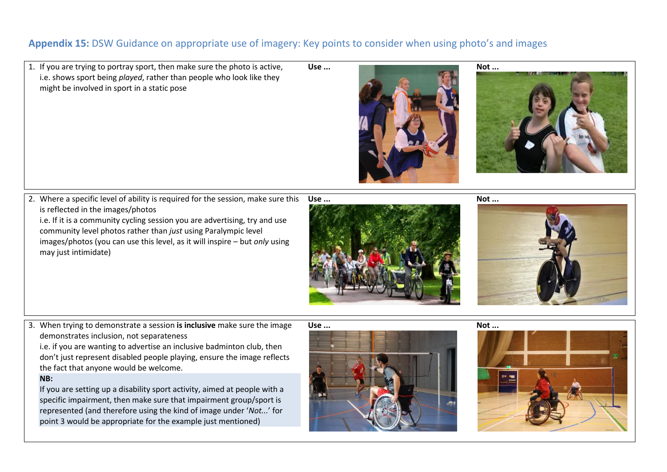## **Appendix 15:** DSW Guidance on appropriate use of imagery: Key points to consider when using photo's and images

1. If you are trying to portray sport, then make sure the photo is active, i.e. shows sport being *played*, rather than people who look like they might be involved in sport in a static pose







2. Where a specific level of ability is required for the session, make sure this is reflected in the images/photos i.e. If it is a community cycling session you are advertising, try and use

community level photos rather than *just* using Paralympic level images/photos (you can use this level, as it will inspire – but *only* using may just intimidate)

**Use ... [Not ...](http://www.google.co.uk/imgres?q=mark+colbourne+disability+sport+wales&start=96&um=1&hl=en&tbo=d&biw=1680&bih=881&tbm=isch&tbnid=Vo_zH-v0kUTeIM:&imgrefurl=http://www.bbc.co.uk/news/uk-wales-19449352&docid=l5AWkY55bnBgCM&imgurl=http://news.bbcimg.co.uk/media/images/62619000/jpg/_62619059_015832843-1.jpg&w=640&h=360&ei=0hoBUdrbHMeI0AWlyoGADQ&zoom=1&iact=hc&vpx=1015&vpy=406&dur=737&hovh=168&hovw=300&tx=221&ty=86&sig=105139736739589226934&page=3&tbnh=143&tbnw=240&ndsp=53&ved=1t:429,r:29,s:100,i:91) Not ...** 





3. When trying to demonstrate a session **is inclusive** make sure the image demonstrates inclusion, not separateness

i.e. if you are wanting to advertise an inclusive badminton club, then don't just represent disabled people playing, ensure the image reflects the fact that anyone would be welcome.

### **NB:**

If you are setting up a disability sport activity, aimed at people with a specific impairment, then make sure that impairment group/sport is represented (and therefore using the kind of image under '*Not...*' for point 3 would be appropriate for the example just mentioned)